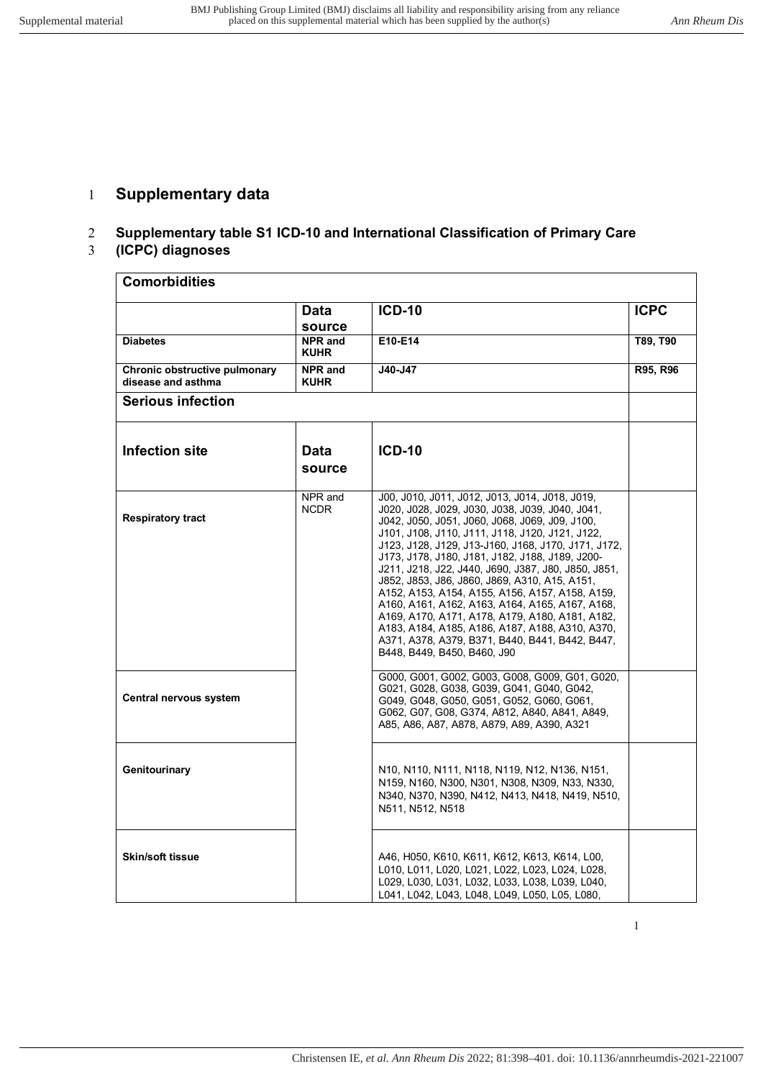## 1 **Supplementary data**

## 2 **Supplementary table S1 ICD-10 and International Classification of Primary Care**

## 3 **(ICPC) diagnoses**

| <b>Comorbidities</b>                                |                                         |                                                                                                                                                                                                                                                                                                                                                                                                                                                                                                                                                                                                                                                                                                                        |             |  |
|-----------------------------------------------------|-----------------------------------------|------------------------------------------------------------------------------------------------------------------------------------------------------------------------------------------------------------------------------------------------------------------------------------------------------------------------------------------------------------------------------------------------------------------------------------------------------------------------------------------------------------------------------------------------------------------------------------------------------------------------------------------------------------------------------------------------------------------------|-------------|--|
|                                                     | <b>Data</b>                             | <b>ICD-10</b>                                                                                                                                                                                                                                                                                                                                                                                                                                                                                                                                                                                                                                                                                                          | <b>ICPC</b> |  |
| <b>Diabetes</b>                                     | source<br><b>NPR</b> and<br><b>KUHR</b> | E10-E14                                                                                                                                                                                                                                                                                                                                                                                                                                                                                                                                                                                                                                                                                                                | T89, T90    |  |
| Chronic obstructive pulmonary<br>disease and asthma | <b>NPR</b> and<br><b>KUHR</b>           | J40-J47                                                                                                                                                                                                                                                                                                                                                                                                                                                                                                                                                                                                                                                                                                                | R95, R96    |  |
| <b>Serious infection</b>                            |                                         |                                                                                                                                                                                                                                                                                                                                                                                                                                                                                                                                                                                                                                                                                                                        |             |  |
| <b>Infection site</b>                               | Data<br>source                          | <b>ICD-10</b>                                                                                                                                                                                                                                                                                                                                                                                                                                                                                                                                                                                                                                                                                                          |             |  |
| <b>Respiratory tract</b>                            | NPR and<br><b>NCDR</b>                  | J00, J010, J011, J012, J013, J014, J018, J019,<br>J020, J028, J029, J030, J038, J039, J040, J041,<br>J042, J050, J051, J060, J068, J069, J09, J100,<br>J101, J108, J110, J111, J118, J120, J121, J122,<br>J123, J128, J129, J13-J160, J168, J170, J171, J172,<br>J173, J178, J180, J181, J182, J188, J189, J200-<br>J211, J218, J22, J440, J690, J387, J80, J850, J851,<br>J852, J853, J86, J860, J869, A310, A15, A151,<br>A152, A153, A154, A155, A156, A157, A158, A159,<br>A160, A161, A162, A163, A164, A165, A167, A168,<br>A169, A170, A171, A178, A179, A180, A181, A182,<br>A183, A184, A185, A186, A187, A188, A310, A370,<br>A371, A378, A379, B371, B440, B441, B442, B447,<br>B448, B449, B450, B460, J90 |             |  |
| Central nervous system                              |                                         | G000, G001, G002, G003, G008, G009, G01, G020,<br>G021, G028, G038, G039, G041, G040, G042,<br>G049, G048, G050, G051, G052, G060, G061,<br>G062, G07, G08, G374, A812, A840, A841, A849,<br>A85, A86, A87, A878, A879, A89, A390, A321                                                                                                                                                                                                                                                                                                                                                                                                                                                                                |             |  |
| Genitourinary                                       |                                         | N10, N110, N111, N118, N119, N12, N136, N151,<br>N159, N160, N300, N301, N308, N309, N33, N330,<br>N340, N370, N390, N412, N413, N418, N419, N510,<br>N511, N512, N518                                                                                                                                                                                                                                                                                                                                                                                                                                                                                                                                                 |             |  |
| <b>Skin/soft tissue</b>                             |                                         | A46, H050, K610, K611, K612, K613, K614, L00,<br>L010, L011, L020, L021, L022, L023, L024, L028,<br>L029, L030, L031, L032, L033, L038, L039, L040,<br>L041, L042, L043, L048, L049, L050, L05, L080,                                                                                                                                                                                                                                                                                                                                                                                                                                                                                                                  |             |  |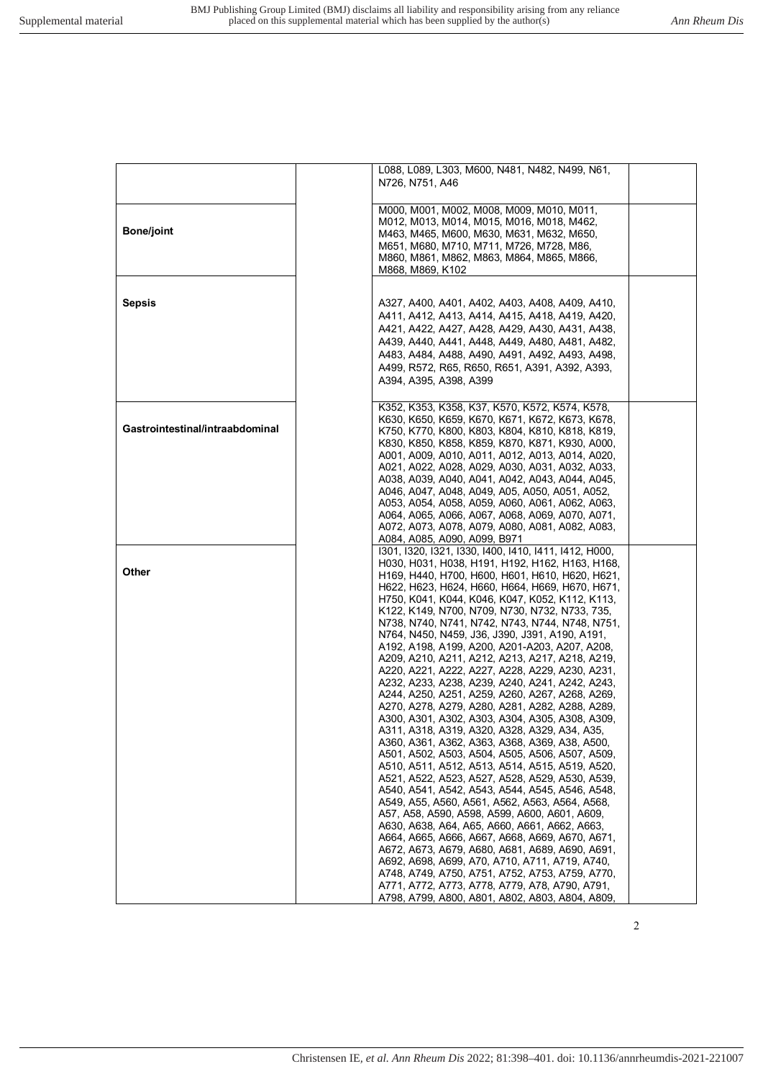|                                 | L088, L089, L303, M600, N481, N482, N499, N61,        |
|---------------------------------|-------------------------------------------------------|
|                                 | N726, N751, A46                                       |
|                                 |                                                       |
|                                 | M000, M001, M002, M008, M009, M010, M011,             |
|                                 | M012, M013, M014, M015, M016, M018, M462,             |
| <b>Bone/joint</b>               | M463, M465, M600, M630, M631, M632, M650,             |
|                                 | M651, M680, M710, M711, M726, M728, M86,              |
|                                 | M860, M861, M862, M863, M864, M865, M866,             |
|                                 | M868, M869, K102                                      |
|                                 |                                                       |
|                                 |                                                       |
| <b>Sepsis</b>                   | A327, A400, A401, A402, A403, A408, A409, A410,       |
|                                 | A411, A412, A413, A414, A415, A418, A419, A420,       |
|                                 | A421, A422, A427, A428, A429, A430, A431, A438,       |
|                                 | A439, A440, A441, A448, A449, A480, A481, A482,       |
|                                 | A483, A484, A488, A490, A491, A492, A493, A498,       |
|                                 | A499, R572, R65, R650, R651, A391, A392, A393,        |
|                                 | A394, A395, A398, A399                                |
|                                 |                                                       |
|                                 | K352, K353, K358, K37, K570, K572, K574, K578,        |
|                                 | K630, K650, K659, K670, K671, K672, K673, K678,       |
| Gastrointestinal/intraabdominal | K750, K770, K800, K803, K804, K810, K818, K819,       |
|                                 | K830, K850, K858, K859, K870, K871, K930, A000,       |
|                                 | A001, A009, A010, A011, A012, A013, A014, A020,       |
|                                 | A021, A022, A028, A029, A030, A031, A032, A033,       |
|                                 | A038, A039, A040, A041, A042, A043, A044, A045,       |
|                                 | A046, A047, A048, A049, A05, A050, A051, A052,        |
|                                 | A053, A054, A058, A059, A060, A061, A062, A063,       |
|                                 | A064, A065, A066, A067, A068, A069, A070, A071,       |
|                                 | A072, A073, A078, A079, A080, A081, A082, A083,       |
|                                 | A084, A085, A090, A099, B971                          |
|                                 | 1301, 1320, 1321, 1330, 1400, 1410, 1411, 1412, H000, |
|                                 | H030, H031, H038, H191, H192, H162, H163, H168,       |
| Other                           | Н169, Н440, Н700, Н600, Н601, Н610, Н620, Н621,       |
|                                 | Н622, Н623, Н624, Н660, Н664, Н669, Н670, Н671,       |
|                                 | H750, K041, K044, K046, K047, K052, K112, K113,       |
|                                 | K122, K149, N700, N709, N730, N732, N733, 735,        |
|                                 | N738, N740, N741, N742, N743, N744, N748, N751,       |
|                                 | N764, N450, N459, J36, J390, J391, A190, A191,        |
|                                 | A192, A198, A199, A200, A201-A203, A207, A208,        |
|                                 | A209, A210, A211, A212, A213, A217, A218, A219,       |
|                                 | A220, A221, A222, A227, A228, A229, A230, A231,       |
|                                 | A232, A233, A238, A239, A240, A241, A242, A243,       |
|                                 | A244, A250, A251, A259, A260, A267, A268, A269,       |
|                                 | A270, A278, A279, A280, A281, A282, A288, A289,       |
|                                 | A300, A301, A302, A303, A304, A305, A308, A309,       |
|                                 | A311, A318, A319, A320, A328, A329, A34, A35,         |
|                                 | A360, A361, A362, A363, A368, A369, A38, A500,        |
|                                 | A501, A502, A503, A504, A505, A506, A507, A509,       |
|                                 | A510, A511, A512, A513, A514, A515, A519, A520,       |
|                                 | A521, A522, A523, A527, A528, A529, A530, A539,       |
|                                 | A540, A541, A542, A543, A544, A545, A546, A548,       |
|                                 | A549, A55, A560, A561, A562, A563, A564, A568,        |
|                                 | A57, A58, A590, A598, A599, A600, A601, A609,         |
|                                 | A630, A638, A64, A65, A660, A661, A662, A663,         |
|                                 | A664, A665, A666, A667, A668, A669, A670, A671,       |
|                                 | A672, A673, A679, A680, A681, A689, A690, A691,       |
|                                 | A692, A698, A699, A70, A710, A711, A719, A740,        |
|                                 | A748, A749, A750, A751, A752, A753, A759, A770,       |
|                                 | A771, A772, A773, A778, A779, A78, A790, A791,        |
|                                 | A798, A799, A800, A801, A802, A803, A804, A809        |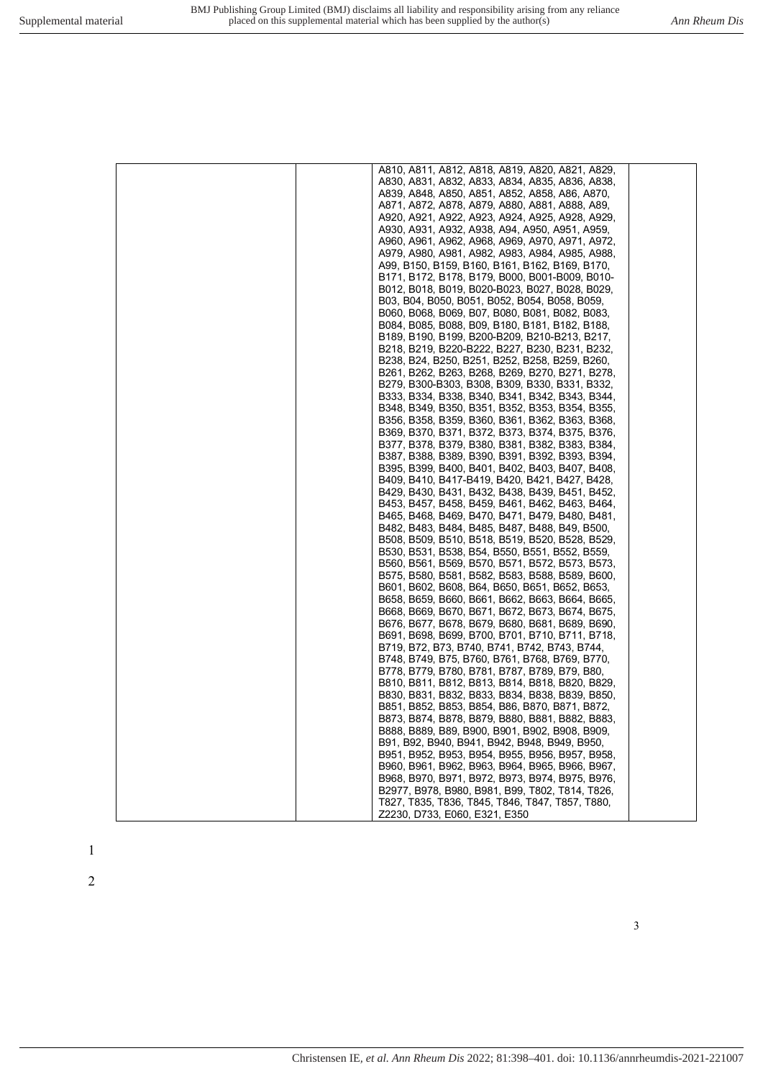| A810, A811, A812, A818, A819, A820, A821, A829,                                                   |
|---------------------------------------------------------------------------------------------------|
| A830, A831, A832, A833, A834, A835, A836, A838,                                                   |
| A839, A848, A850, A851, A852, A858, A86, A870,                                                    |
| A871, A872, A878, A879, A880, A881, A888, A89,                                                    |
| A920, A921, A922, A923, A924, A925, A928, A929,                                                   |
| A930, A931, A932, A938, A94, A950, A951, A959,                                                    |
| A960, A961, A962, A968, A969, A970, A971, A972,                                                   |
| A979, A980, A981, A982, A983, A984, A985, A988,                                                   |
| A99, B150, B159, B160, B161, B162, B169, B170,                                                    |
| B171, B172, B178, B179, B000, B001-B009, B010-                                                    |
| B012, B018, B019, B020-B023, B027, B028, B029,                                                    |
| B03, B04, B050, B051, B052, B054, B058, B059,                                                     |
| B060, B068, B069, B07, B080, B081, B082, B083,                                                    |
| B084, B085, B088, B09, B180, B181, B182, B188,                                                    |
| B189, B190, B199, B200-B209, B210-B213, B217,<br>B218, B219, B220-B222, B227, B230, B231, B232,   |
| B238, B24, B250, B251, B252, B258, B259, B260,                                                    |
| B261, B262, B263, B268, B269, B270, B271, B278,                                                   |
| B279, B300-B303, B308, B309, B330, B331, B332,                                                    |
| B333, B334, B338, B340, B341, B342, B343, B344,                                                   |
| B348, B349, B350, B351, B352, B353, B354, B355,                                                   |
| B356, B358, B359, B360, B361, B362, B363, B368,                                                   |
| B369, B370, B371, B372, B373, B374, B375, B376,                                                   |
| B377, B378, B379, B380, B381, B382, B383, B384,                                                   |
| B387, B388, B389, B390, B391, B392, B393, B394,                                                   |
| B395, B399, B400, B401, B402, B403, B407, B408,                                                   |
| B409, B410, B417-B419, B420, B421, B427, B428,                                                    |
| B429, B430, B431, B432, B438, B439, B451, B452,                                                   |
| B453, B457, B458, B459, B461, B462, B463, B464,                                                   |
| B465, B468, B469, B470, B471, B479, B480, B481,                                                   |
| B482, B483, B484, B485, B487, B488, B49, B500,<br>B508, B509, B510, B518, B519, B520, B528, B529, |
| B530, B531, B538, B54, B550, B551, B552, B559,                                                    |
| B560, B561, B569, B570, B571, B572, B573, B573,                                                   |
| B575, B580, B581, B582, B583, B588, B589, B600,                                                   |
| B601, B602, B608, B64, B650, B651, B652, B653,                                                    |
| B658, B659, B660, B661, B662, B663, B664, B665,                                                   |
| B668, B669, B670, B671, B672, B673, B674, B675,                                                   |
| B676, B677, B678, B679, B680, B681, B689, B690,                                                   |
| B691, B698, B699, B700, B701, B710, B711, B718,                                                   |
| B719, B72, B73, B740, B741, B742, B743, B744,                                                     |
| B748, B749, B75, B760, B761, B768, B769, B770,                                                    |
| B778, B779, B780, B781, B787, B789, B79, B80,                                                     |
| B810, B811, B812, B813, B814, B818, B820, B829,                                                   |
| B830, B831, B832, B833, B834, B838, B839, B850,<br>B851, B852, B853, B854, B86, B870, B871, B872, |
| B873, B874, B878, B879, B880, B881, B882, B883,                                                   |
| B888, B889, B89, B900, B901, B902, B908, B909,                                                    |
| B91, B92, B940, B941, B942, B948, B949, B950,                                                     |
| B951, B952, B953, B954, B955, B956, B957, B958,                                                   |
| B960, B961, B962, B963, B964, B965, B966, B967,                                                   |
| B968, B970, B971, B972, B973, B974, B975, B976,                                                   |
| B2977, B978, B980, B981, B99, T802, T814, T826,                                                   |
| T827, T835, T836, T845, T846, T847, T857, T880,                                                   |
| Z2230, D733, E060, E321, E350                                                                     |

 $\,1\,$  $\frac{1}{2}$ 

 $\overline{2}$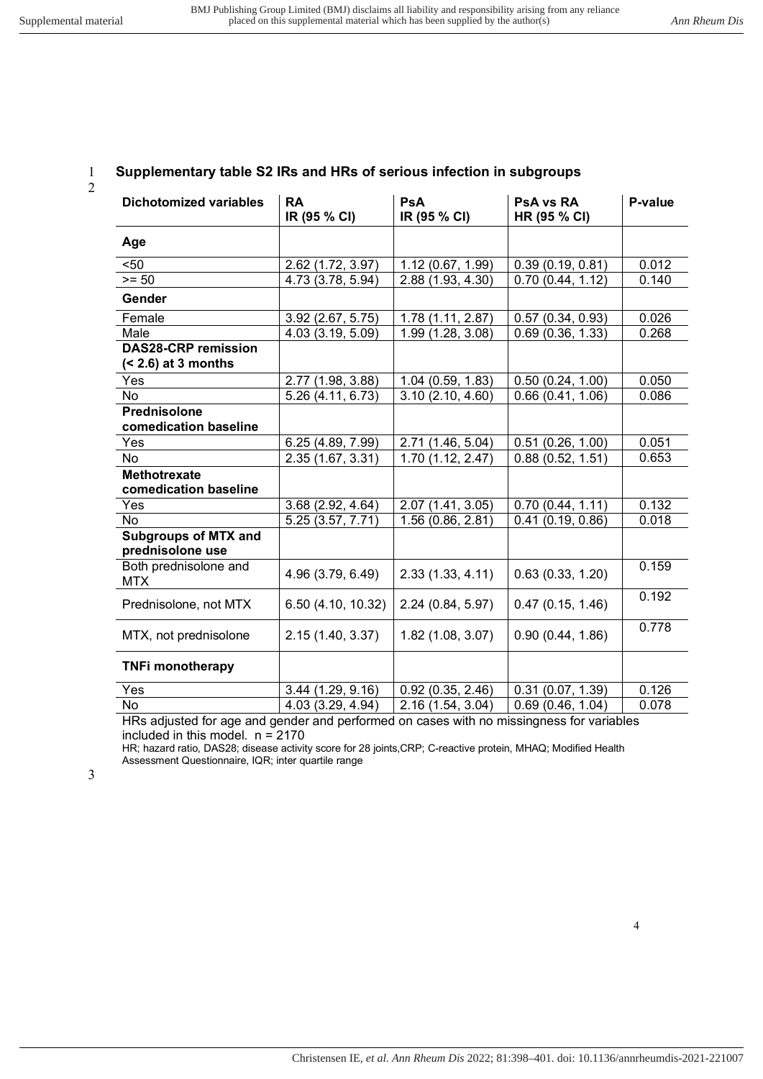2

### 1 **Supplementary table S2 IRs and HRs of serious infection in subgroups**

| <b>Dichotomized variables</b>                        | <b>RA</b><br>IR (95 % CI) | PsA<br>IR (95 % CI) | <b>PsA vs RA</b><br>HR (95 % CI) | P-value |
|------------------------------------------------------|---------------------------|---------------------|----------------------------------|---------|
| Age                                                  |                           |                     |                                  |         |
| $50$                                                 | 2.62 (1.72, 3.97)         | 1.12(0.67, 1.99)    | 0.39(0.19, 0.81)                 | 0.012   |
| $>= 50$                                              | 4.73 (3.78, 5.94)         | 2.88 (1.93, 4.30)   | 0.70(0.44, 1.12)                 | 0.140   |
| Gender                                               |                           |                     |                                  |         |
| Female                                               | 3.92 (2.67, 5.75)         | 1.78(1.11, 2.87)    | 0.57(0.34, 0.93)                 | 0.026   |
| Male                                                 | 4.03 (3.19, 5.09)         | 1.99 (1.28, 3.08)   | 0.69(0.36, 1.33)                 | 0.268   |
| <b>DAS28-CRP remission</b><br>$($ < 2.6) at 3 months |                           |                     |                                  |         |
| Yes                                                  | 2.77 (1.98, 3.88)         | 1.04 (0.59, 1.83)   | 0.50(0.24, 1.00)                 | 0.050   |
| No                                                   | 5.26 (4.11, 6.73)         | 3.10(2.10, 4.60)    | 0.66(0.41, 1.06)                 | 0.086   |
| <b>Prednisolone</b><br>comedication baseline         |                           |                     |                                  |         |
| Yes                                                  | 6.25 (4.89, 7.99)         | 2.71 (1.46, 5.04)   | 0.51(0.26, 1.00)                 | 0.051   |
| <b>No</b>                                            | 2.35 (1.67, 3.31)         | 1.70(1.12, 2.47)    | 0.88(0.52, 1.51)                 | 0.653   |
| <b>Methotrexate</b><br>comedication baseline         |                           |                     |                                  |         |
| Yes                                                  | 3.68 (2.92, 4.64)         | 2.07 (1.41, 3.05)   | 0.70(0.44, 1.11)                 | 0.132   |
| <b>No</b>                                            | 5.25 (3.57, 7.71)         | 1.56(0.86, 2.81)    | 0.41(0.19, 0.86)                 | 0.018   |
| <b>Subgroups of MTX and</b><br>prednisolone use      |                           |                     |                                  |         |
| Both prednisolone and<br><b>MTX</b>                  | 4.96 (3.79, 6.49)         | 2.33(1.33, 4.11)    | 0.63(0.33, 1.20)                 | 0.159   |
| Prednisolone, not MTX                                | 6.50 (4.10, 10.32)        | 2.24 (0.84, 5.97)   | 0.47(0.15, 1.46)                 | 0.192   |
| MTX, not prednisolone                                | 2.15 (1.40, 3.37)         | 1.82 (1.08, 3.07)   | 0.90(0.44, 1.86)                 | 0.778   |
| <b>TNFi monotherapy</b>                              |                           |                     |                                  |         |
| Yes                                                  | 3.44 (1.29, 9.16)         | 0.92(0.35, 2.46)    | 0.31(0.07, 1.39)                 | 0.126   |
| No                                                   | 4.03 (3.29, 4.94)         | 2.16 (1.54, 3.04)   | 0.69(0.46, 1.04)                 | 0.078   |

HRs adjusted for age and gender and performed on cases with no missingness for variables included in this model.  $n = 2170$ 

HR; hazard ratio, DAS28; disease activity score for 28 joints,CRP; C-reactive protein, MHAQ; Modified Health Assessment Questionnaire, IQR; inter quartile range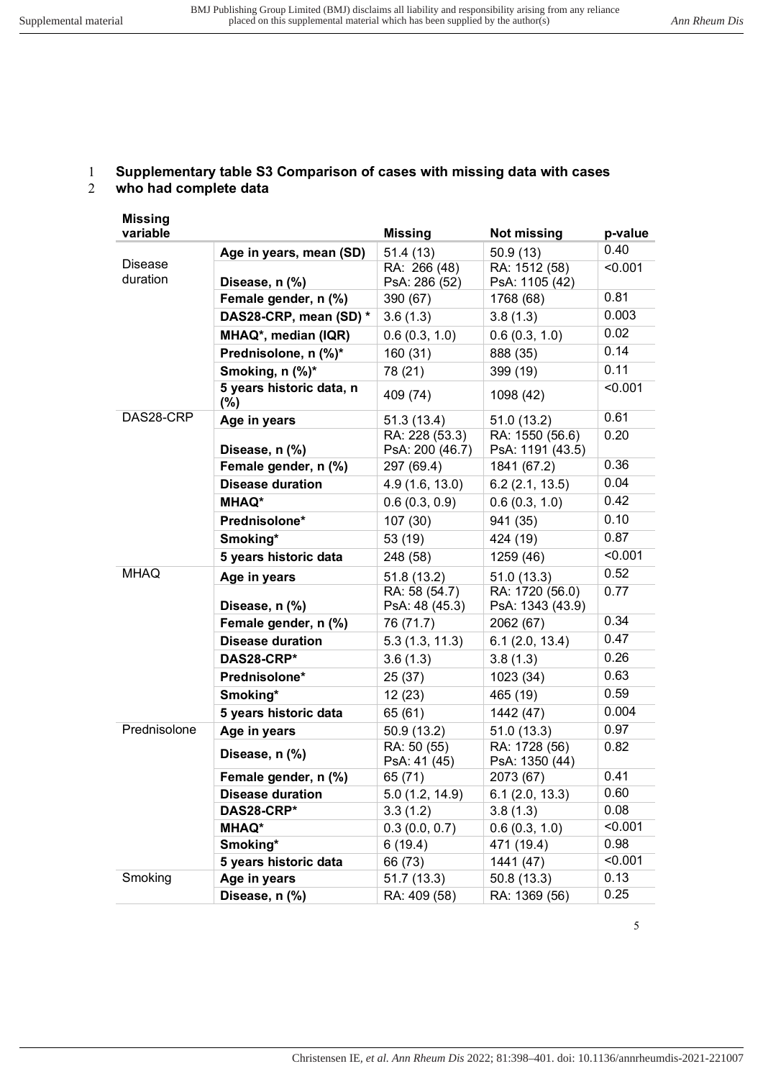## 1 **Supplementary table S3 Comparison of cases with missing data with cases**

#### 2 **who had complete data**

| <b>Missing</b>                                                                                                                                                                                                                                                                             |                                 |                                   |                                     |         |
|--------------------------------------------------------------------------------------------------------------------------------------------------------------------------------------------------------------------------------------------------------------------------------------------|---------------------------------|-----------------------------------|-------------------------------------|---------|
| variable                                                                                                                                                                                                                                                                                   |                                 | <b>Missing</b>                    | <b>Not missing</b>                  | p-value |
|                                                                                                                                                                                                                                                                                            | Age in years, mean (SD)         | 51.4(13)                          | 50.9(13)                            | 0.40    |
|                                                                                                                                                                                                                                                                                            |                                 | RA: 266 (48)                      | RA: 1512 (58)                       | < 0.001 |
|                                                                                                                                                                                                                                                                                            |                                 | PsA: 286 (52)                     | PsA: 1105 (42)                      |         |
|                                                                                                                                                                                                                                                                                            |                                 | 390 (67)                          | 1768 (68)                           | 0.81    |
|                                                                                                                                                                                                                                                                                            | DAS28-CRP, mean (SD) *          | 3.6(1.3)                          | 3.8(1.3)                            | 0.003   |
|                                                                                                                                                                                                                                                                                            | MHAQ*, median (IQR)             | 0.6(0.3, 1.0)                     | 0.6(0.3, 1.0)                       | 0.02    |
|                                                                                                                                                                                                                                                                                            | Prednisolone, n (%)*            | 160 (31)                          | 888 (35)                            | 0.14    |
|                                                                                                                                                                                                                                                                                            | Smoking, n (%)*                 | 78 (21)                           | 399 (19)                            | 0.11    |
|                                                                                                                                                                                                                                                                                            | 5 years historic data, n<br>(%) | 409 (74)                          | 1098 (42)                           | < 0.001 |
|                                                                                                                                                                                                                                                                                            | Age in years                    | 51.3(13.4)                        | 51.0 (13.2)                         | 0.61    |
|                                                                                                                                                                                                                                                                                            | Disease, n (%)                  | RA: 228 (53.3)<br>PsA: 200 (46.7) | RA: 1550 (56.6)<br>PsA: 1191 (43.5) | 0.20    |
|                                                                                                                                                                                                                                                                                            | Female gender, n (%)            | 297 (69.4)                        | 1841 (67.2)                         | 0.36    |
| <b>Disease</b><br>duration<br>Disease, n (%)<br>Female gender, n (%)<br>DAS28-CRP<br><b>MHAQ*</b><br>Prednisolone*<br>Smoking*<br><b>MHAQ</b><br>Age in years<br>Disease, n (%)<br>DAS28-CRP*<br>Prednisolone*<br>Smoking*<br>Prednisolone<br>Age in years<br>Disease, n (%)<br>DAS28-CRP* | <b>Disease duration</b>         | 4.9(1.6, 13.0)                    | 6.2(2.1, 13.5)                      | 0.04    |
|                                                                                                                                                                                                                                                                                            |                                 | 0.6(0.3, 0.9)                     | 0.6(0.3, 1.0)                       | 0.42    |
|                                                                                                                                                                                                                                                                                            |                                 | 107(30)                           | 941 (35)                            | 0.10    |
|                                                                                                                                                                                                                                                                                            |                                 | 53 (19)                           | 424 (19)                            | 0.87    |
|                                                                                                                                                                                                                                                                                            | 5 years historic data           | 248 (58)                          | 1259 (46)                           | < 0.001 |
|                                                                                                                                                                                                                                                                                            |                                 | 51.8 (13.2)                       | 51.0(13.3)                          | 0.52    |
|                                                                                                                                                                                                                                                                                            |                                 | RA: 58 (54.7)<br>PsA: 48 (45.3)   | RA: 1720 (56.0)<br>PsA: 1343 (43.9) | 0.77    |
|                                                                                                                                                                                                                                                                                            | Female gender, n (%)            | 76 (71.7)                         | 2062 (67)                           | 0.34    |
|                                                                                                                                                                                                                                                                                            | <b>Disease duration</b>         | 5.3(1.3, 11.3)                    | 6.1(2.0, 13.4)                      | 0.47    |
|                                                                                                                                                                                                                                                                                            |                                 | 3.6(1.3)                          | 3.8(1.3)                            | 0.26    |
|                                                                                                                                                                                                                                                                                            |                                 | 25 (37)                           | 1023 (34)                           | 0.63    |
|                                                                                                                                                                                                                                                                                            |                                 | 12(23)                            | 465 (19)                            | 0.59    |
|                                                                                                                                                                                                                                                                                            | 5 years historic data           | 65 (61)                           | 1442 (47)                           | 0.004   |
|                                                                                                                                                                                                                                                                                            |                                 | 50.9 (13.2)                       | 51.0(13.3)                          | 0.97    |
|                                                                                                                                                                                                                                                                                            |                                 | RA: 50 (55)<br>PsA: 41 (45)       | RA: 1728 (56)<br>PsA: 1350 (44)     | 0.82    |
|                                                                                                                                                                                                                                                                                            | Female gender, n (%)            | 65 (71)                           | 2073 (67)                           | 0.41    |
|                                                                                                                                                                                                                                                                                            | <b>Disease duration</b>         | 5.0(1.2, 14.9)                    | 6.1(2.0, 13.3)                      | 0.60    |
|                                                                                                                                                                                                                                                                                            |                                 | 3.3(1.2)                          | 3.8(1.3)                            | 0.08    |
|                                                                                                                                                                                                                                                                                            | <b>MHAQ*</b>                    | 0.3(0.0, 0.7)                     | 0.6(0.3, 1.0)                       | < 0.001 |
|                                                                                                                                                                                                                                                                                            | Smoking*                        | 6(19.4)                           | 471 (19.4)                          | 0.98    |
|                                                                                                                                                                                                                                                                                            | 5 years historic data           | 66 (73)                           | 1441 (47)                           | < 0.001 |
| Smoking                                                                                                                                                                                                                                                                                    | Age in years                    | 51.7(13.3)                        | 50.8(13.3)                          | 0.13    |
|                                                                                                                                                                                                                                                                                            | Disease, n (%)                  | RA: 409 (58)                      | RA: 1369 (56)                       | 0.25    |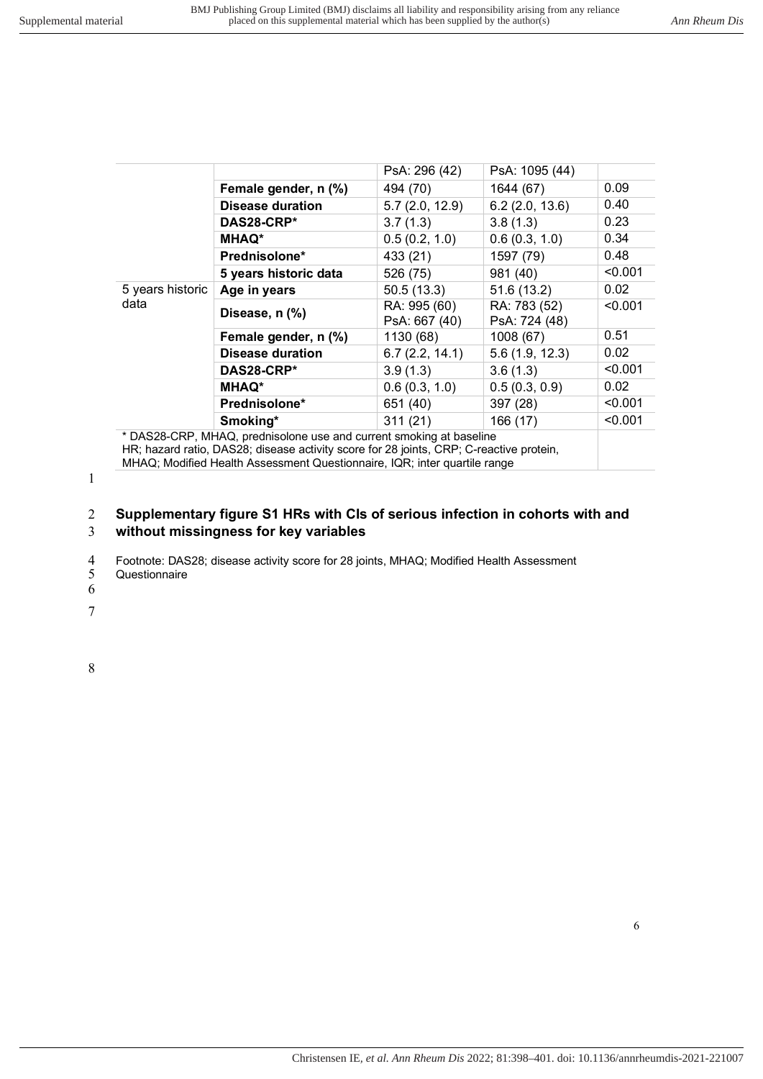|                                                                     |                         | PsA: 296 (42)                 | PsA: 1095 (44)                |         |
|---------------------------------------------------------------------|-------------------------|-------------------------------|-------------------------------|---------|
|                                                                     | Female gender, n (%)    | 494 (70)                      | 1644 (67)                     | 0.09    |
| data                                                                | <b>Disease duration</b> | 5.7(2.0, 12.9)                | 6.2(2.0, 13.6)                | 0.40    |
|                                                                     | DAS28-CRP*              | 3.7(1.3)                      | 3.8(1.3)                      | 0.23    |
|                                                                     | <b>MHAQ*</b>            | 0.5(0.2, 1.0)                 | 0.6(0.3, 1.0)                 | 0.34    |
|                                                                     | Prednisolone*           | 433 (21)                      | 1597 (79)                     | 0.48    |
|                                                                     | 5 years historic data   | 526 (75)                      | 981 (40)                      | < 0.001 |
| 5 years historic                                                    | Age in years            | 50.5(13.3)                    | 51.6(13.2)                    | 0.02    |
|                                                                     | Disease, n (%)          | RA: 995 (60)<br>PsA: 667 (40) | RA: 783 (52)<br>PsA: 724 (48) | < 0.001 |
|                                                                     | Female gender, n (%)    | 1130 (68)                     | 1008 (67)                     | 0.51    |
|                                                                     | <b>Disease duration</b> | 6.7(2.2, 14.1)                | 5.6(1.9, 12.3)                | 0.02    |
|                                                                     | DAS28-CRP*              | 3.9(1.3)                      | 3.6(1.3)                      | < 0.001 |
|                                                                     | <b>MHAQ*</b>            | 0.6(0.3, 1.0)                 | 0.5(0.3, 0.9)                 | 0.02    |
|                                                                     | <b>Prednisolone*</b>    | 651 (40)                      | 397 (28)                      | < 0.001 |
|                                                                     | Smoking*                | 311(21)                       | 166 (17)                      | < 0.001 |
| * DAS28-CRP, MHAQ, prednisolone use and current smoking at baseline |                         |                               |                               |         |

HR; hazard ratio, DAS28; disease activity score for 28 joints, CRP; C-reactive protein,

MHAQ; Modified Health Assessment Questionnaire, IQR; inter quartile range

1

### 2 **Supplementary figure S1 HRs with CIs of serious infection in cohorts with and**  3 **without missingness for key variables**

4 Footnote: DAS28; disease activity score for 28 joints, MHAQ; Modified Health Assessment

**Questionnaire** 

6

7